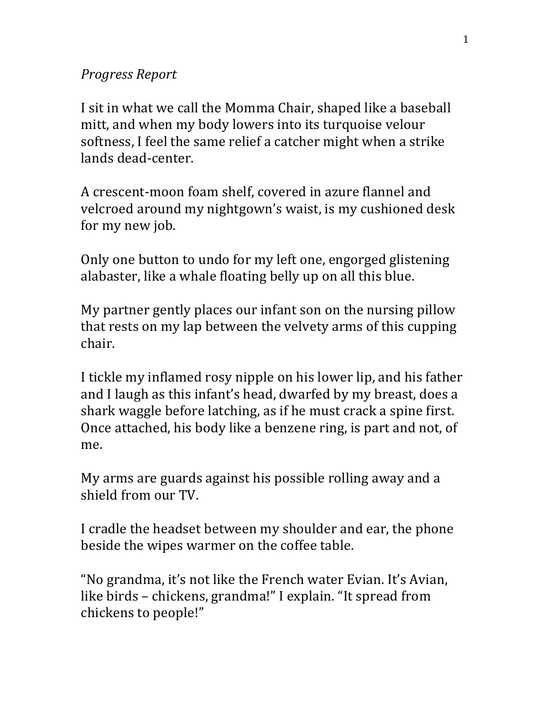## *Progress Report*

I sit in what we call the Momma Chair, shaped like a baseball mitt, and when my body lowers into its turquoise velour softness, I feel the same relief a catcher might when a strike lands dead-center.

A crescent-moon foam shelf, covered in azure flannel and velcroed around my nightgown's waist, is my cushioned desk for my new job.

Only one button to undo for my left one, engorged glistening alabaster, like a whale floating belly up on all this blue.

My partner gently places our infant son on the nursing pillow that rests on my lap between the velvety arms of this cupping chair.

I tickle my inflamed rosy nipple on his lower lip, and his father and I laugh as this infant's head, dwarfed by my breast, does a shark waggle before latching, as if he must crack a spine first. Once attached, his body like a benzene ring, is part and not, of me.

My arms are guards against his possible rolling away and a shield from our TV.

I cradle the headset between my shoulder and ear, the phone beside the wipes warmer on the coffee table.

"No grandma, it's not like the French water Evian. It's Avian, like birds – chickens, grandma!" I explain. "It spread from chickens to people!"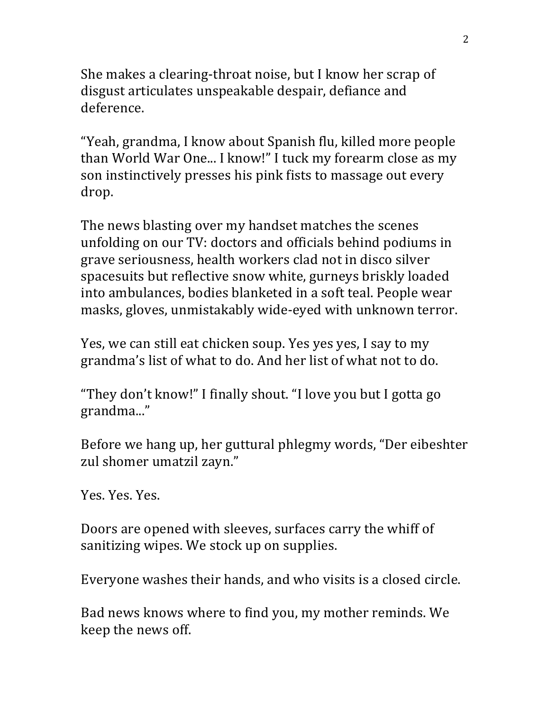She makes a clearing-throat noise, but I know her scrap of disgust articulates unspeakable despair, defiance and deference.

"Yeah, grandma, I know about Spanish flu, killed more people than World War One... I know!" I tuck my forearm close as my son instinctively presses his pink fists to massage out every drop.

The news blasting over my handset matches the scenes unfolding on our TV: doctors and officials behind podiums in grave seriousness, health workers clad not in disco silver spacesuits but reflective snow white, gurneys briskly loaded into ambulances, bodies blanketed in a soft teal. People wear masks, gloves, unmistakably wide-eyed with unknown terror.

Yes, we can still eat chicken soup. Yes yes yes, I say to my grandma's list of what to do. And her list of what not to do.

"They don't know!" I finally shout. "I love you but I gotta go grandma..."

Before we hang up, her guttural phlegmy words, "Der eibeshter zul shomer umatzil zayn."

Yes. Yes. Yes.

Doors are opened with sleeves, surfaces carry the whiff of sanitizing wipes. We stock up on supplies.

Everyone washes their hands, and who visits is a closed circle.

Bad news knows where to find you, my mother reminds. We keep the news off.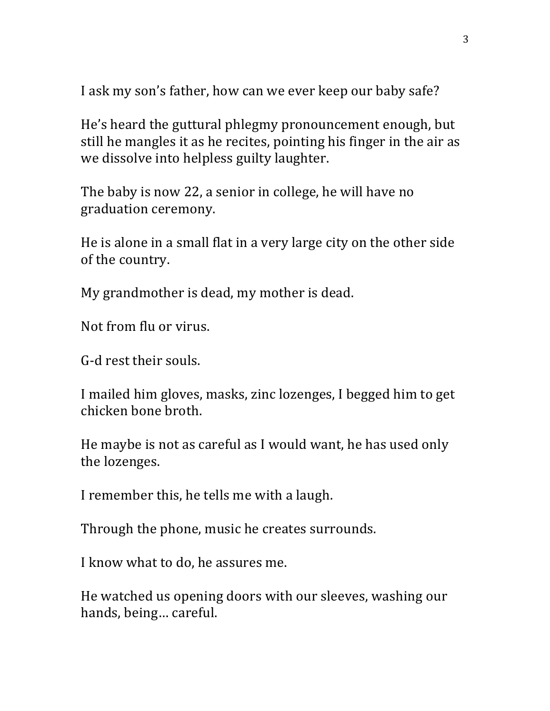I ask my son's father, how can we ever keep our baby safe?

He's heard the guttural phlegmy pronouncement enough, but still he mangles it as he recites, pointing his finger in the air as we dissolve into helpless guilty laughter.

The baby is now 22, a senior in college, he will have no graduation ceremony.

He is alone in a small flat in a very large city on the other side of the country.

My grandmother is dead, my mother is dead.

Not from flu or virus.

G-d rest their souls.

I mailed him gloves, masks, zinc lozenges, I begged him to get chicken bone broth.

He maybe is not as careful as I would want, he has used only the lozenges.

I remember this, he tells me with a laugh.

Through the phone, music he creates surrounds.

I know what to do, he assures me.

He watched us opening doors with our sleeves, washing our hands, being... careful.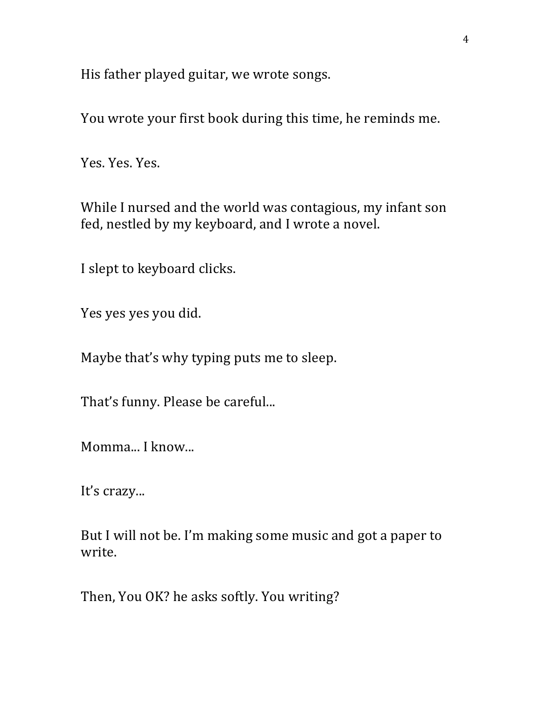His father played guitar, we wrote songs.

You wrote your first book during this time, he reminds me.

Yes. Yes. Yes.

While I nursed and the world was contagious, my infant son fed, nestled by my keyboard, and I wrote a novel.

I slept to keyboard clicks.

Yes yes yes you did.

Maybe that's why typing puts me to sleep.

That's funny. Please be careful...

Momma... I know...

It's crazy...

But I will not be. I'm making some music and got a paper to write.

Then, You OK? he asks softly. You writing?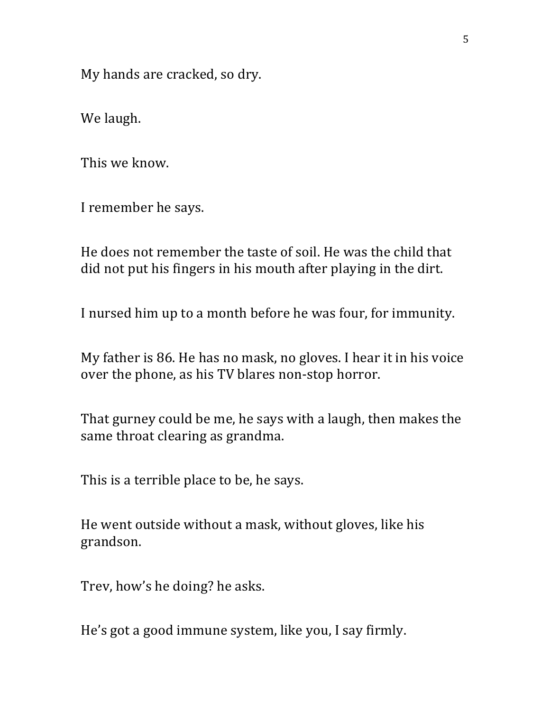My hands are cracked, so dry.

We laugh.

This we know.

I remember he says.

He does not remember the taste of soil. He was the child that did not put his fingers in his mouth after playing in the dirt.

I nursed him up to a month before he was four, for immunity.

My father is 86. He has no mask, no gloves. I hear it in his voice over the phone, as his TV blares non-stop horror.

That gurney could be me, he says with a laugh, then makes the same throat clearing as grandma.

This is a terrible place to be, he says.

He went outside without a mask, without gloves, like his grandson.

Trev, how's he doing? he asks.

He's got a good immune system, like you, I say firmly.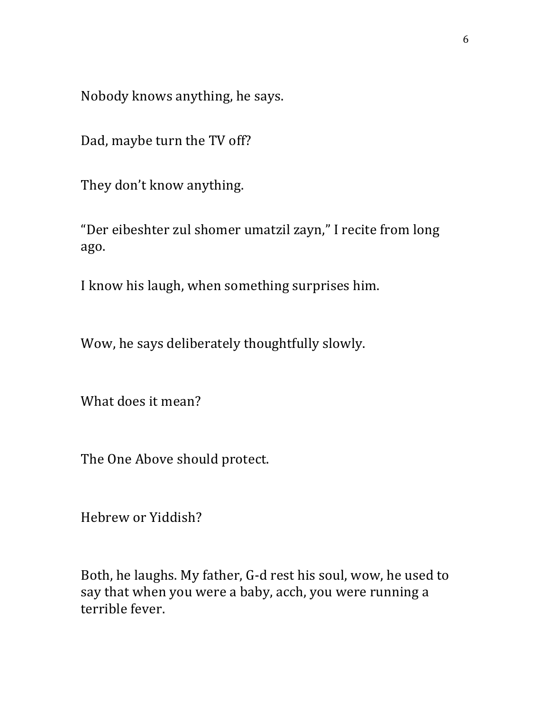Nobody knows anything, he says.

Dad, maybe turn the TV off?

They don't know anything.

"Der eibeshter zul shomer umatzil zayn," I recite from long ago.

I know his laugh, when something surprises him.

Wow, he says deliberately thoughtfully slowly.

What does it mean?

The One Above should protect.

Hebrew or Yiddish?

Both, he laughs. My father, G-d rest his soul, wow, he used to say that when you were a baby, acch, you were running a terrible fever.